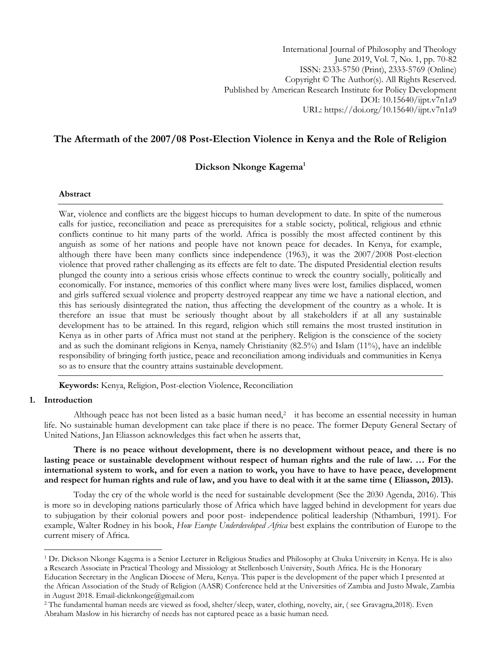International Journal of Philosophy and Theology June 2019, Vol. 7, No. 1, pp. 70-82 ISSN: 2333-5750 (Print), 2333-5769 (Online) Copyright © The Author(s). All Rights Reserved. Published by American Research Institute for Policy Development DOI: 10.15640/ijpt.v7n1a9 URL: https://doi.org/10.15640/ijpt.v7n1a9

# **The Aftermath of the 2007/08 Post-Election Violence in Kenya and the Role of Religion**

## **Dickson Nkonge Kagema<sup>1</sup>**

### **Abstract**

War, violence and conflicts are the biggest hiccups to human development to date. In spite of the numerous calls for justice, reconciliation and peace as prerequisites for a stable society, political, religious and ethnic conflicts continue to hit many parts of the world. Africa is possibly the most affected continent by this anguish as some of her nations and people have not known peace for decades. In Kenya, for example, although there have been many conflicts since independence (1963), it was the 2007/2008 Post-election violence that proved rather challenging as its effects are felt to date. The disputed Presidential election results plunged the county into a serious crisis whose effects continue to wreck the country socially, politically and economically. For instance, memories of this conflict where many lives were lost, families displaced, women and girls suffered sexual violence and property destroyed reappear any time we have a national election, and this has seriously disintegrated the nation, thus affecting the development of the country as a whole. It is therefore an issue that must be seriously thought about by all stakeholders if at all any sustainable development has to be attained. In this regard, religion which still remains the most trusted institution in Kenya as in other parts of Africa must not stand at the periphery. Religion is the conscience of the society and as such the dominant religions in Kenya, namely Christianity (82.5%) and Islam (11%), have an indelible responsibility of bringing forth justice, peace and reconciliation among individuals and communities in Kenya so as to ensure that the country attains sustainable development.

**Keywords:** Kenya, Religion, Post-election Violence, Reconciliation

## **1. Introduction**

 $\overline{a}$ 

Although peace has not been listed as a basic human need,<sup>2</sup> it has become an essential necessity in human life. No sustainable human development can take place if there is no peace. The former Deputy General Sectary of United Nations, Jan Eliasson acknowledges this fact when he asserts that,

**There is no peace without development, there is no development without peace, and there is no lasting peace or sustainable development without respect of human rights and the rule of law. … For the international system to work, and for even a nation to work, you have to have to have peace, development and respect for human rights and rule of law, and you have to deal with it at the same time ( Eliasson, 2013).**

Today the cry of the whole world is the need for sustainable development (See the 2030 Agenda, 2016). This is more so in developing nations particularly those of Africa which have lagged behind in development for years due to subjugation by their colonial powers and poor post- independence political leadership (Nthamburi, 1991). For example, Walter Rodney in his book, *How Europe Underdeveloped Africa* best explains the contribution of Europe to the current misery of Africa.

<sup>1</sup> Dr. Dickson Nkonge Kagema is a Senior Lecturer in Religious Studies and Philosophy at Chuka University in Kenya. He is also a Research Associate in Practical Theology and Missiology at Stellenbosch University, South Africa. He is the Honorary Education Secretary in the Anglican Diocese of Meru, Kenya. This paper is the development of the paper which I presented at the African Association of the Study of Religion (AASR) Conference held at the Universities of Zambia and Justo Mwale, Zambia in August 2018. Email-dicknkonge@gmail.com

<sup>2</sup> The fundamental human needs are viewed as food, shelter/sleep, water, clothing, novelty, air, ( see Gravagna,2018). Even Abraham Maslow in his hierarchy of needs has not captured peace as a basic human need.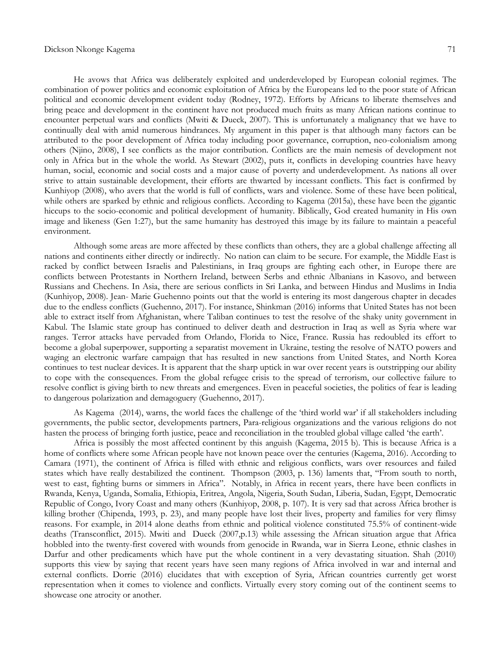#### Dickson Nkonge Kagema 71

He avows that Africa was deliberately exploited and underdeveloped by European colonial regimes. The combination of power politics and economic exploitation of Africa by the Europeans led to the poor state of African political and economic development evident today (Rodney, 1972). Efforts by Africans to liberate themselves and bring peace and development in the continent have not produced much fruits as many African nations continue to encounter perpetual wars and conflicts (Mwiti & Dueck, 2007). This is unfortunately a malignancy that we have to continually deal with amid numerous hindrances. My argument in this paper is that although many factors can be attributed to the poor development of Africa today including poor governance, corruption, neo-colonialism among others (Njino, 2008), I see conflicts as the major contribution. Conflicts are the main nemesis of development not only in Africa but in the whole the world. As Stewart (2002), puts it, conflicts in developing countries have heavy human, social, economic and social costs and a major cause of poverty and underdevelopment. As nations all over strive to attain sustainable development, their efforts are thwarted by incessant conflicts. This fact is confirmed by Kunhiyop (2008), who avers that the world is full of conflicts, wars and violence. Some of these have been political, while others are sparked by ethnic and religious conflicts. According to Kagema (2015a), these have been the gigantic hiccups to the socio-economic and political development of humanity. Biblically, God created humanity in His own image and likeness (Gen 1:27), but the same humanity has destroyed this image by its failure to maintain a peaceful environment.

Although some areas are more affected by these conflicts than others, they are a global challenge affecting all nations and continents either directly or indirectly. No nation can claim to be secure. For example, the Middle East is racked by conflict between Israelis and Palestinians, in Iraq groups are fighting each other, in Europe there are conflicts between Protestants in Northern Ireland, between Serbs and ethnic Albanians in Kasovo, and between Russians and Chechens. In Asia, there are serious conflicts in Sri Lanka, and between Hindus and Muslims in India (Kunhiyop, 2008). Jean- Marie Guehenno points out that the world is entering its most dangerous chapter in decades due to the endless conflicts (Guehenno, 2017). For instance, Shinkman (2016) informs that United States has not been able to extract itself from Afghanistan, where Taliban continues to test the resolve of the shaky unity government in Kabul. The Islamic state group has continued to deliver death and destruction in Iraq as well as Syria where war ranges. Terror attacks have pervaded from Orlando, Florida to Nice, France. Russia has redoubled its effort to become a global superpower, supporting a separatist movement in Ukraine, testing the resolve of NATO powers and waging an electronic warfare campaign that has resulted in new sanctions from United States, and North Korea continues to test nuclear devices. It is apparent that the sharp uptick in war over recent years is outstripping our ability to cope with the consequences. From the global refugee crisis to the spread of terrorism, our collective failure to resolve conflict is giving birth to new threats and emergences. Even in peaceful societies, the politics of fear is leading to dangerous polarization and demagoguery (Guehenno, 2017).

As Kagema (2014), warns, the world faces the challenge of the 'third world war' if all stakeholders including governments, the public sector, developments partners, Para-religious organizations and the various religions do not hasten the process of bringing forth justice, peace and reconciliation in the troubled global village called 'the earth'.

Africa is possibly the most affected continent by this anguish (Kagema, 2015 b). This is because Africa is a home of conflicts where some African people have not known peace over the centuries (Kagema, 2016). According to Camara (1971), the continent of Africa is filled with ethnic and religious conflicts, wars over resources and failed states which have really destabilized the continent. Thompson (2003, p. 136) laments that, "From south to north, west to east, fighting burns or simmers in Africa". Notably, in Africa in recent years, there have been conflicts in Rwanda, Kenya, Uganda, Somalia, Ethiopia, Eritrea, Angola, Nigeria, South Sudan, Liberia, Sudan, Egypt, Democratic Republic of Congo, Ivory Coast and many others (Kunhiyop, 2008, p. 107). It is very sad that across Africa brother is killing brother (Chipenda, 1993, p. 23), and many people have lost their lives, property and families for very flimsy reasons. For example, in 2014 alone deaths from ethnic and political violence constituted 75.5% of continent-wide deaths (Transconflict, 2015). Mwiti and Dueck (2007,p.13) while assessing the African situation argue that Africa hobbled into the twenty-first covered with wounds from genocide in Rwanda, war in Sierra Leone, ethnic clashes in Darfur and other predicaments which have put the whole continent in a very devastating situation. Shah (2010) supports this view by saying that recent years have seen many regions of Africa involved in war and internal and external conflicts. Dorrie (2016) elucidates that with exception of Syria, African countries currently get worst representation when it comes to violence and conflicts. Virtually every story coming out of the continent seems to showcase one atrocity or another.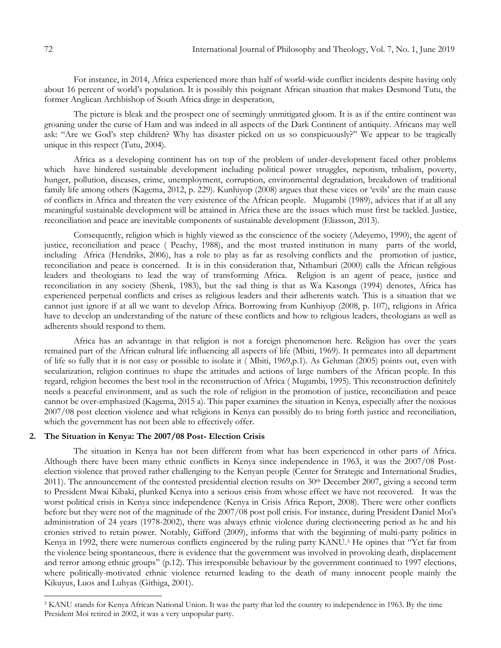For instance, in 2014, Africa experienced more than half of world-wide conflict incidents despite having only about 16 percent of world's population. It is possibly this poignant African situation that makes Desmond Tutu, the former Anglican Archbishop of South Africa dirge in desperation,

The picture is bleak and the prospect one of seemingly unmitigated gloom. It is as if the entire continent was groaning under the curse of Ham and was indeed in all aspects of the Dark Continent of antiquity. Africans may well ask: "Are we God's step children? Why has disaster picked on us so conspicuously?" We appear to be tragically unique in this respect (Tutu, 2004).

Africa as a developing continent has on top of the problem of under-development faced other problems which have hindered sustainable development including political power struggles, nepotism, tribalism, poverty, hunger, pollution, diseases, crime, unemployment, corruption, environmental degradation, breakdown of traditional family life among others (Kagema, 2012, p. 229). Kunhiyop (2008) argues that these vices or 'evils' are the main cause of conflicts in Africa and threaten the very existence of the African people. Mugambi (1989), advices that if at all any meaningful sustainable development will be attained in Africa these are the issues which must first be tackled. Justice, reconciliation and peace are inevitable components of sustainable development (Eliasson, 2013).

Consequently, religion which is highly viewed as the conscience of the society (Adeyemo, 1990), the agent of justice, reconciliation and peace ( Peachy, 1988), and the most trusted institution in many parts of the world, including Africa (Hendriks, 2006), has a role to play as far as resolving conflicts and the promotion of justice, reconciliation and peace is concerned. It is in this consideration that, Nthamburi (2000) calls the African religious leaders and theologians to lead the way of transforming Africa. Religion is an agent of peace, justice and reconciliation in any society (Shenk, 1983), but the sad thing is that as Wa Kasonga (1994) denotes, Africa has experienced perpetual conflicts and crises as religious leaders and their adherents watch. This is a situation that we cannot just ignore if at all we want to develop Africa. Borrowing from Kunhiyop (2008, p. 107), religions in Africa have to develop an understanding of the nature of these conflicts and how to religious leaders, theologians as well as adherents should respond to them.

Africa has an advantage in that religion is not a foreign phenomenon here. Religion has over the years remained part of the African cultural life influencing all aspects of life (Mbiti, 1969). It permeates into all department of life so fully that it is not easy or possible to isolate it ( Mbiti, 1969,p.1). As Gehman (2005) points out, even with secularization, religion continues to shape the attitudes and actions of large numbers of the African people. In this regard, religion becomes the best tool in the reconstruction of Africa ( Mugambi, 1995). This reconstruction definitely needs a peaceful environment, and as such the role of religion in the promotion of justice, reconciliation and peace cannot be over-emphasized (Kagema, 2015 a). This paper examines the situation in Kenya, especially after the noxious 2007/08 post election violence and what religions in Kenya can possibly do to bring forth justice and reconciliation, which the government has not been able to effectively offer.

## **2. The Situation in Kenya: The 2007/08 Post- Election Crisis**

The situation in Kenya has not been different from what has been experienced in other parts of Africa. Although there have been many ethnic conflicts in Kenya since independence in 1963, it was the 2007/08 Postelection violence that proved rather challenging to the Kenyan people (Center for Strategic and International Studies, 2011). The announcement of the contested presidential election results on 30th December 2007, giving a second term to President Mwai Kibaki, plunked Kenya into a serious crisis from whose effect we have not recovered. It was the worst political crisis in Kenya since independence (Kenya in Crisis Africa Report, 2008). There were other conflicts before but they were not of the magnitude of the 2007/08 post poll crisis. For instance, during President Daniel Moi's administration of 24 years (1978-2002), there was always ethnic violence during electioneering period as he and his cronies strived to retain power. Notably, Gifford (2009), informs that with the beginning of multi-party politics in Kenya in 1992, there were numerous conflicts engineered by the ruling party KANU.<sup>3</sup> He opines that "Yet far from the violence being spontaneous, there is evidence that the government was involved in provoking death, displacement and terror among ethnic groups" (p.12). This irresponsible behaviour by the government continued to 1997 elections, where politically-motivated ethnic violence returned leading to the death of many innocent people mainly the Kikuyus, Luos and Luhyas (Githiga, 2001).

 $\overline{a}$ 

<sup>&</sup>lt;sup>3</sup> KANU stands for Kenya African National Union. It was the party that led the country to independence in 1963. By the time President Moi retired in 2002, it was a very unpopular party.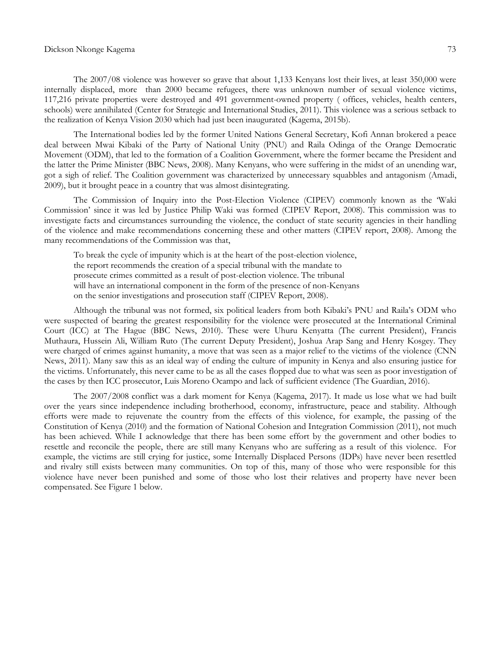#### Dickson Nkonge Kagema 73

The 2007/08 violence was however so grave that about 1,133 Kenyans lost their lives, at least 350,000 were internally displaced, more than 2000 became refugees, there was unknown number of sexual violence victims, 117,216 private properties were destroyed and 491 government-owned property ( offices, vehicles, health centers, schools) were annihilated (Center for Strategic and International Studies, 2011). This violence was a serious setback to the realization of Kenya Vision 2030 which had just been inaugurated (Kagema, 2015b).

The International bodies led by the former United Nations General Secretary, Kofi Annan brokered a peace deal between Mwai Kibaki of the Party of National Unity (PNU) and Raila Odinga of the Orange Democratic Movement (ODM), that led to the formation of a Coalition Government, where the former became the President and the latter the Prime Minister (BBC News, 2008). Many Kenyans, who were suffering in the midst of an unending war, got a sigh of relief. The Coalition government was characterized by unnecessary squabbles and antagonism (Amadi, 2009), but it brought peace in a country that was almost disintegrating.

The Commission of Inquiry into the Post-Election Violence (CIPEV) commonly known as the 'Waki Commission' since it was led by Justice Philip Waki was formed (CIPEV Report, 2008). This commission was to investigate facts and circumstances surrounding the violence, the conduct of state security agencies in their handling of the violence and make recommendations concerning these and other matters (CIPEV report, 2008). Among the many recommendations of the Commission was that,

To break the cycle of impunity which is at the heart of the post-election violence, the report recommends the creation of a special tribunal with the mandate to prosecute crimes committed as a result of post-election violence. The tribunal will have an international component in the form of the presence of non-Kenyans on the senior investigations and prosecution staff (CIPEV Report, 2008).

Although the tribunal was not formed, six political leaders from both Kibaki's PNU and Raila's ODM who were suspected of bearing the greatest responsibility for the violence were prosecuted at the International Criminal Court (ICC) at The Hague (BBC News, 2010). These were Uhuru Kenyatta (The current President), Francis Muthaura, Hussein Ali, William Ruto (The current Deputy President), Joshua Arap Sang and Henry Kosgey. They were charged of crimes against humanity, a move that was seen as a major relief to the victims of the violence (CNN News, 2011). Many saw this as an ideal way of ending the culture of impunity in Kenya and also ensuring justice for the victims. Unfortunately, this never came to be as all the cases flopped due to what was seen as poor investigation of the cases by then ICC prosecutor, Luis Moreno Ocampo and lack of sufficient evidence (The Guardian, 2016).

The 2007/2008 conflict was a dark moment for Kenya (Kagema, 2017). It made us lose what we had built over the years since independence including brotherhood, economy, infrastructure, peace and stability. Although efforts were made to rejuvenate the country from the effects of this violence, for example, the passing of the Constitution of Kenya (2010) and the formation of National Cohesion and Integration Commission (2011), not much has been achieved. While I acknowledge that there has been some effort by the government and other bodies to resettle and reconcile the people, there are still many Kenyans who are suffering as a result of this violence. For example, the victims are still crying for justice, some Internally Displaced Persons (IDPs) have never been resettled and rivalry still exists between many communities. On top of this, many of those who were responsible for this violence have never been punished and some of those who lost their relatives and property have never been compensated. See Figure 1 below.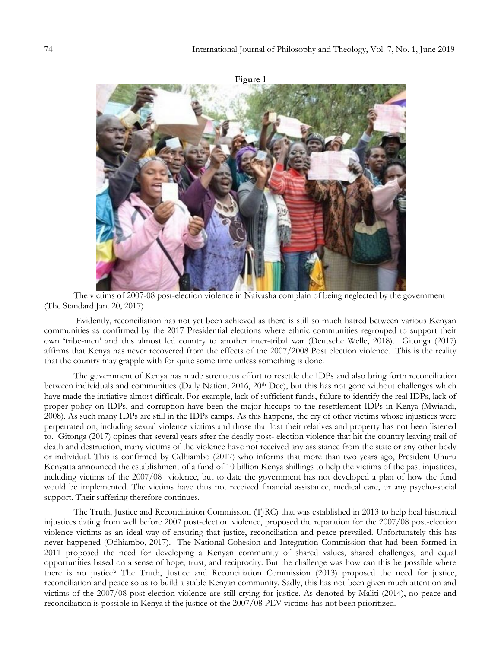

The victims of 2007-08 post-election violence in Naivasha complain of being neglected by the government (The Standard Jan. 20, 2017)

Evidently, reconciliation has not yet been achieved as there is still so much hatred between various Kenyan communities as confirmed by the 2017 Presidential elections where ethnic communities regrouped to support their own ‗tribe-men' and this almost led country to another inter-tribal war (Deutsche Welle, 2018). Gitonga (2017) affirms that Kenya has never recovered from the effects of the 2007/2008 Post election violence. This is the reality that the country may grapple with for quite some time unless something is done.

The government of Kenya has made strenuous effort to resettle the IDPs and also bring forth reconciliation between individuals and communities (Daily Nation, 2016, 20<sup>th</sup> Dec), but this has not gone without challenges which have made the initiative almost difficult. For example, lack of sufficient funds, failure to identify the real IDPs, lack of proper policy on IDPs, and corruption have been the major hiccups to the resettlement IDPs in Kenya (Mwiandi, 2008). As such many IDPs are still in the IDPs camps. As this happens, the cry of other victims whose injustices were perpetrated on, including sexual violence victims and those that lost their relatives and property has not been listened to. Gitonga (2017) opines that several years after the deadly post- election violence that hit the country leaving trail of death and destruction, many victims of the violence have not received any assistance from the state or any other body or individual. This is confirmed by Odhiambo (2017) who informs that more than two years ago, President Uhuru Kenyatta announced the establishment of a fund of 10 billion Kenya shillings to help the victims of the past injustices, including victims of the 2007/08 violence, but to date the government has not developed a plan of how the fund would be implemented. The victims have thus not received financial assistance, medical care, or any psycho-social support. Their suffering therefore continues.

The Truth, Justice and Reconciliation Commission (TJRC) that was established in 2013 to help heal historical injustices dating from well before 2007 post-election violence, proposed the reparation for the 2007/08 post-election violence victims as an ideal way of ensuring that justice, reconciliation and peace prevailed. Unfortunately this has never happened (Odhiambo, 2017). The National Cohesion and Integration Commission that had been formed in 2011 proposed the need for developing a Kenyan community of shared values, shared challenges, and equal opportunities based on a sense of hope, trust, and reciprocity. But the challenge was how can this be possible where there is no justice? The Truth, Justice and Reconciliation Commission (2013) proposed the need for justice, reconciliation and peace so as to build a stable Kenyan community. Sadly, this has not been given much attention and victims of the 2007/08 post-election violence are still crying for justice. As denoted by Maliti (2014), no peace and reconciliation is possible in Kenya if the justice of the 2007/08 PEV victims has not been prioritized.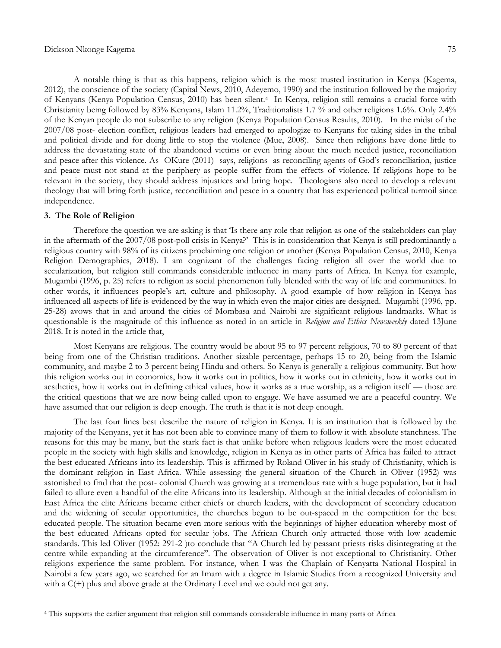A notable thing is that as this happens, religion which is the most trusted institution in Kenya (Kagema, 2012), the conscience of the society (Capital News, 2010, Adeyemo, 1990) and the institution followed by the majority of Kenyans (Kenya Population Census, 2010) has been silent.<sup>4</sup> In Kenya, religion still remains a crucial force with Christianity being followed by 83% Kenyans, Islam 11.2%, Traditionalists 1.7 % and other religions 1.6%. Only 2.4% of the Kenyan people do not subscribe to any religion (Kenya Population Census Results, 2010). In the midst of the 2007/08 post- election conflict, religious leaders had emerged to apologize to Kenyans for taking sides in the tribal and political divide and for doing little to stop the violence (Mue, 2008). Since then religions have done little to address the devastating state of the abandoned victims or even bring about the much needed justice, reconciliation and peace after this violence. As OKure (2011) says, religions as reconciling agents of God's reconciliation, justice and peace must not stand at the periphery as people suffer from the effects of violence. If religions hope to be relevant in the society, they should address injustices and bring hope. Theologians also need to develop a relevant theology that will bring forth justice, reconciliation and peace in a country that has experienced political turmoil since independence.

### **3. The Role of Religion**

 $\overline{a}$ 

Therefore the question we are asking is that 'Is there any role that religion as one of the stakeholders can play in the aftermath of the 2007/08 post-poll crisis in Kenya?' This is in consideration that Kenya is still predominantly a religious country with 98% of its citizens proclaiming one religion or another (Kenya Population Census, 2010, Kenya Religion Demographics, 2018). I am cognizant of the challenges facing religion all over the world due to secularization, but religion still commands considerable influence in many parts of Africa. In Kenya for example, Mugambi (1996, p. 25) refers to religion as social phenomenon fully blended with the way of life and communities. In other words, it influences people's art, culture and philosophy. A good example of how religion in Kenya has influenced all aspects of life is evidenced by the way in which even the major cities are designed. Mugambi (1996, pp. 25-28) avows that in and around the cities of Mombasa and Nairobi are significant religious landmarks. What is questionable is the magnitude of this influence as noted in an article in *Religion and Ethics Newsweekly* dated 13June 2018. It is noted in the article that,

Most Kenyans are religious. The country would be about 95 to 97 percent religious, 70 to 80 percent of that being from one of the Christian traditions. Another sizable percentage, perhaps 15 to 20, being from the Islamic community, and maybe 2 to 3 percent being Hindu and others. So Kenya is generally a religious community. But how this religion works out in economics, how it works out in politics, how it works out in ethnicity, how it works out in aesthetics, how it works out in defining ethical values, how it works as a true worship, as a religion itself — those are the critical questions that we are now being called upon to engage. We have assumed we are a peaceful country. We have assumed that our religion is deep enough. The truth is that it is not deep enough.

The last four lines best describe the nature of religion in Kenya. It is an institution that is followed by the majority of the Kenyans, yet it has not been able to convince many of them to follow it with absolute stanchness. The reasons for this may be many, but the stark fact is that unlike before when religious leaders were the most educated people in the society with high skills and knowledge, religion in Kenya as in other parts of Africa has failed to attract the best educated Africans into its leadership. This is affirmed by Roland Oliver in his study of Christianity, which is the dominant religion in East Africa. While assessing the general situation of the Church in Oliver (1952) was astonished to find that the post- colonial Church was growing at a tremendous rate with a huge population, but it had failed to allure even a handful of the elite Africans into its leadership. Although at the initial decades of colonialism in East Africa the elite Africans became either chiefs or church leaders, with the development of secondary education and the widening of secular opportunities, the churches begun to be out-spaced in the competition for the best educated people. The situation became even more serious with the beginnings of higher education whereby most of the best educated Africans opted for secular jobs. The African Church only attracted those with low academic standards. This led Oliver (1952: 291-2) to conclude that "A Church led by peasant priests risks disintegrating at the centre while expanding at the circumference". The observation of Oliver is not exceptional to Christianity. Other religions experience the same problem. For instance, when I was the Chaplain of Kenyatta National Hospital in Nairobi a few years ago, we searched for an Imam with a degree in Islamic Studies from a recognized University and with a  $C(+)$  plus and above grade at the Ordinary Level and we could not get any.

<sup>4</sup> This supports the earlier argument that religion still commands considerable influence in many parts of Africa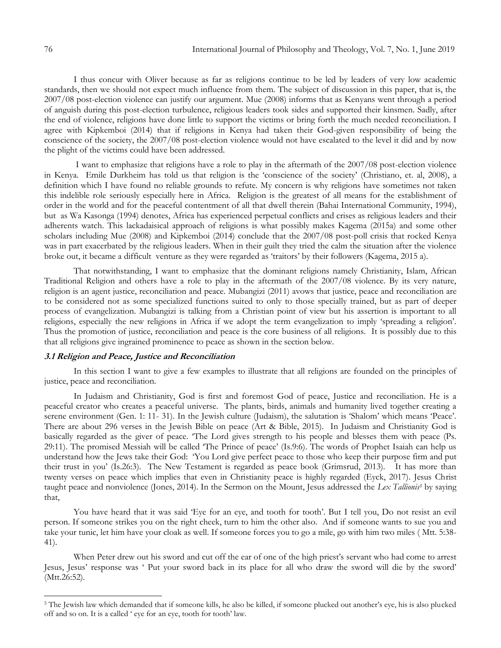I thus concur with Oliver because as far as religions continue to be led by leaders of very low academic standards, then we should not expect much influence from them. The subject of discussion in this paper, that is, the 2007/08 post-election violence can justify our argument. Mue (2008) informs that as Kenyans went through a period of anguish during this post-election turbulence, religious leaders took sides and supported their kinsmen. Sadly, after the end of violence, religions have done little to support the victims or bring forth the much needed reconciliation. I agree with Kipkemboi (2014) that if religions in Kenya had taken their God-given responsibility of being the conscience of the society, the 2007/08 post-election violence would not have escalated to the level it did and by now the plight of the victims could have been addressed.

I want to emphasize that religions have a role to play in the aftermath of the 2007/08 post-election violence in Kenya. Emile Durkheim has told us that religion is the 'conscience of the society' (Christiano, et. al, 2008), a definition which I have found no reliable grounds to refute. My concern is why religions have sometimes not taken this indelible role seriously especially here in Africa. Religion is the greatest of all means for the establishment of order in the world and for the peaceful contentment of all that dwell therein (Bahai International Community, 1994), but as Wa Kasonga (1994) denotes, Africa has experienced perpetual conflicts and crises as religious leaders and their adherents watch. This lackadaisical approach of religions is what possibly makes Kagema (2015a) and some other scholars including Mue (2008) and Kipkemboi (2014) conclude that the 2007/08 post-poll crisis that rocked Kenya was in part exacerbated by the religious leaders. When in their guilt they tried the calm the situation after the violence broke out, it became a difficult venture as they were regarded as 'traitors' by their followers (Kagema, 2015 a).

That notwithstanding, I want to emphasize that the dominant religions namely Christianity, Islam, African Traditional Religion and others have a role to play in the aftermath of the 2007/08 violence. By its very nature, religion is an agent justice, reconciliation and peace. Mubangizi (2011) avows that justice, peace and reconciliation are to be considered not as some specialized functions suited to only to those specially trained, but as part of deeper process of evangelization. Mubangizi is talking from a Christian point of view but his assertion is important to all religions, especially the new religions in Africa if we adopt the term evangelization to imply 'spreading a religion'. Thus the promotion of justice, reconciliation and peace is the core business of all religions. It is possibly due to this that all religions give ingrained prominence to peace as shown in the section below.

## **3.1 Religion and Peace, Justice and Reconciliation**

In this section I want to give a few examples to illustrate that all religions are founded on the principles of justice, peace and reconciliation.

In Judaism and Christianity, God is first and foremost God of peace, Justice and reconciliation. He is a peaceful creator who creates a peaceful universe. The plants, birds, animals and humanity lived together creating a serene environment (Gen. 1: 11- 31). In the Jewish culture (Judaism), the salutation is 'Shalom' which means 'Peace'. There are about 296 verses in the Jewish Bible on peace (Art & Bible, 2015). In Judaism and Christianity God is basically regarded as the giver of peace. The Lord gives strength to his people and blesses them with peace (Ps. 29:11). The promised Messiah will be called ‗The Prince of peace' (Is.9:6). The words of Prophet Isaiah can help us understand how the Jews take their God: ‗You Lord give perfect peace to those who keep their purpose firm and put their trust in you' (Is.26:3). The New Testament is regarded as peace book (Grimsrud, 2013). It has more than twenty verses on peace which implies that even in Christianity peace is highly regarded (Eyck, 2017). Jesus Christ taught peace and nonviolence (Jones, 2014). In the Sermon on the Mount, Jesus addressed the *Lex Tallionis<sup>5</sup>* by saying that,

You have heard that it was said 'Eye for an eye, and tooth for tooth'. But I tell you, Do not resist an evil person. If someone strikes you on the right cheek, turn to him the other also. And if someone wants to sue you and take your tunic, let him have your cloak as well. If someone forces you to go a mile, go with him two miles ( Mtt. 5:38- 41).

When Peter drew out his sword and cut off the ear of one of the high priest's servant who had come to arrest Jesus, Jesus' response was ‗ Put your sword back in its place for all who draw the sword will die by the sword' (Mtt.26:52).

 $\overline{a}$ 

<sup>&</sup>lt;sup>5</sup> The Jewish law which demanded that if someone kills, he also be killed, if someone plucked out another's eye, his is also plucked off and so on. It is a called ' eye for an eye, tooth for tooth' law.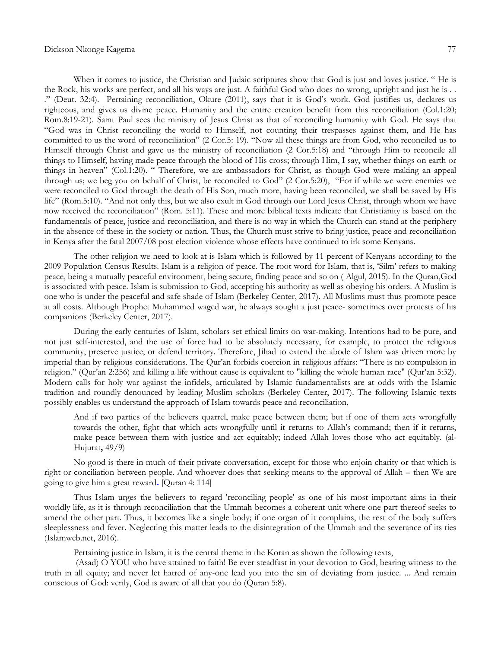#### Dickson Nkonge Kagema 77

When it comes to justice, the Christian and Judaic scriptures show that God is just and loves justice. "He is the Rock, his works are perfect, and all his ways are just. A faithful God who does no wrong, upright and just he is . . .‖ (Deut. 32:4). Pertaining reconciliation, Okure (2011), says that it is God's work. God justifies us, declares us righteous, and gives us divine peace. Humanity and the entire creation benefit from this reconciliation (Col.1:20; Rom.8:19-21). Saint Paul sees the ministry of Jesus Christ as that of reconciling humanity with God. He says that ―God was in Christ reconciling the world to Himself, not counting their trespasses against them, and He has committed to us the word of reconciliation" (2 Cor.5: 19). "Now all these things are from God, who reconciled us to Himself through Christ and gave us the ministry of reconciliation (2 Cor.5:18) and "through Him to reconcile all things to Himself, having made peace through the blood of His cross; through Him, I say, whether things on earth or things in heaven" (Col.1:20). "Therefore, we are ambassadors for Christ, as though God were making an appeal through us; we beg you on behalf of Christ, be reconciled to God"  $(2 \text{ Cor.5:20})$ , "For if while we were enemies we were reconciled to God through the death of His Son, much more, having been reconciled, we shall be saved by His life" (Rom.5:10). "And not only this, but we also exult in God through our Lord Jesus Christ, through whom we have now received the reconciliation" (Rom. 5:11). These and more biblical texts indicate that Christianity is based on the fundamentals of peace, justice and reconciliation, and there is no way in which the Church can stand at the periphery in the absence of these in the society or nation. Thus, the Church must strive to bring justice, peace and reconciliation in Kenya after the fatal 2007/08 post election violence whose effects have continued to irk some Kenyans.

The other religion we need to look at is Islam which is followed by 11 percent of Kenyans according to the 2009 Population Census Results. Islam is a religion of peace. The root word for Islam, that is, 'Silm' refers to making peace, being a mutually peaceful environment, being secure, finding peace and so on ( Algul, 2015). In the Quran,God is associated with peace. Islam is submission to God, accepting his authority as well as obeying his orders. A Muslim is one who is under the peaceful and safe shade of Islam (Berkeley Center, 2017). All Muslims must thus promote peace at all costs. Although Prophet Muhammed waged war, he always sought a just peace- sometimes over protests of his companions (Berkeley Center, 2017).

During the early centuries of Islam, scholars set ethical limits on war-making. Intentions had to be pure, and not just self-interested, and the use of force had to be absolutely necessary, for example, to protect the religious community, preserve justice, or defend territory. Therefore, Jihad to extend the abode of Islam was driven more by imperial than by religious considerations. The Qur'an forbids coercion in religious affairs: "There is no compulsion in religion.‖ (Qur'an 2:256) and killing a life without cause is equivalent to "killing the whole human race" (Qur'an 5:32). Modern calls for holy war against the infidels, articulated by Islamic fundamentalists are at odds with the Islamic tradition and roundly denounced by leading Muslim scholars (Berkeley Center, 2017). The following Islamic texts possibly enables us understand the approach of Islam towards peace and reconciliation,

And if two parties of the believers quarrel, make peace between them; but if one of them acts wrongfully towards the other, fight that which acts wrongfully until it returns to Allah's command; then if it returns, make peace between them with justice and act equitably; indeed Allah loves those who act equitably. (al-Hujurat**,** 49/9)

No good is there in much of their private conversation, except for those who enjoin charity or that which is right or conciliation between people. And whoever does that seeking means to the approval of Allah – then We are going to give him a great reward**.** [Quran 4: 114]

Thus Islam urges the believers to regard 'reconciling people' as one of his most important aims in their worldly life, as it is through reconciliation that the Ummah becomes a coherent unit where one part thereof seeks to amend the other part. Thus, it becomes like a single body; if one organ of it complains, the rest of the body suffers sleeplessness and fever. Neglecting this matter leads to the disintegration of the Ummah and the severance of its ties (Islamweb.net, 2016).

Pertaining justice in Islam, it is the central theme in the Koran as shown the following texts,

(Asad) O YOU who have attained to faith! Be ever steadfast in your devotion to God, bearing witness to the truth in all equity; and never let hatred of any-one lead you into the sin of deviating from justice. ... And remain conscious of God: verily, God is aware of all that you do (Quran 5:8).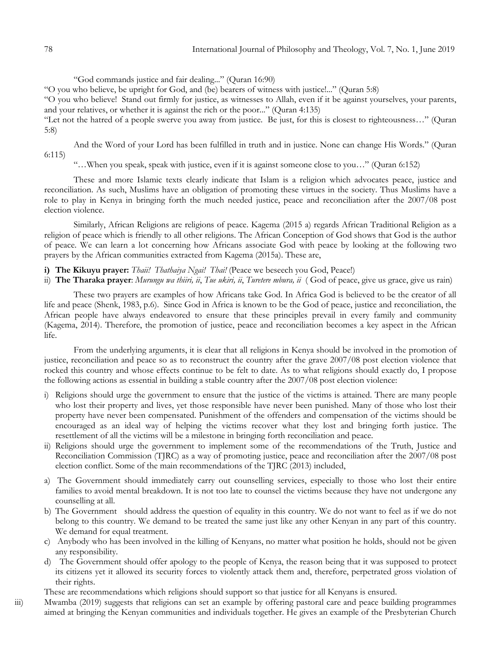―God commands justice and fair dealing...‖ (Quran 16:90)

―O you who believe, be upright for God, and (be) bearers of witness with justice!...‖ (Quran 5:8)

―O you who believe! Stand out firmly for justice, as witnesses to Allah, even if it be against yourselves, your parents, and your relatives, or whether it is against the rich or the poor..." (Quran 4:135)

―Let not the hatred of a people swerve you away from justice. Be just, for this is closest to righteousness…‖ (Quran 5:8)

And the Word of your Lord has been fulfilled in truth and in justice. None can change His Words." (Quran 6:115)

―…When you speak, speak with justice, even if it is against someone close to you…‖ (Quran 6:152)

These and more Islamic texts clearly indicate that Islam is a religion which advocates peace, justice and reconciliation. As such, Muslims have an obligation of promoting these virtues in the society. Thus Muslims have a role to play in Kenya in bringing forth the much needed justice, peace and reconciliation after the 2007/08 post election violence.

Similarly, African Religions are religions of peace. Kagema (2015 a) regards African Traditional Religion as a religion of peace which is friendly to all other religions. The African Conception of God shows that God is the author of peace. We can learn a lot concerning how Africans associate God with peace by looking at the following two prayers by the African communities extracted from Kagema (2015a). These are,

- **i) The Kikuyu prayer:** *Thaii! Thathaiya Ngai! Thai!* (Peace we beseech you God, Peace!)
- ii) **The Tharaka prayer**: *Murungu wa thiiri, ii*, *Tue ukiri, ii*, *Turetere mbura, ii* ( God of peace, give us grace, give us rain)

These two prayers are examples of how Africans take God. In Africa God is believed to be the creator of all life and peace (Shenk, 1983, p.6). Since God in Africa is known to be the God of peace, justice and reconciliation, the African people have always endeavored to ensure that these principles prevail in every family and community (Kagema, 2014). Therefore, the promotion of justice, peace and reconciliation becomes a key aspect in the African life.

From the underlying arguments, it is clear that all religions in Kenya should be involved in the promotion of justice, reconciliation and peace so as to reconstruct the country after the grave 2007/08 post election violence that rocked this country and whose effects continue to be felt to date. As to what religions should exactly do, I propose the following actions as essential in building a stable country after the 2007/08 post election violence:

- i) Religions should urge the government to ensure that the justice of the victims is attained. There are many people who lost their property and lives, yet those responsible have never been punished. Many of those who lost their property have never been compensated. Punishment of the offenders and compensation of the victims should be encouraged as an ideal way of helping the victims recover what they lost and bringing forth justice. The resettlement of all the victims will be a milestone in bringing forth reconciliation and peace.
- ii) Religions should urge the government to implement some of the recommendations of the Truth, Justice and Reconciliation Commission (TJRC) as a way of promoting justice, peace and reconciliation after the 2007/08 post election conflict. Some of the main recommendations of the TJRC (2013) included,
- a) The Government should immediately carry out counselling services, especially to those who lost their entire families to avoid mental breakdown. It is not too late to counsel the victims because they have not undergone any counselling at all.
- b) The Government should address the question of equality in this country. We do not want to feel as if we do not belong to this country. We demand to be treated the same just like any other Kenyan in any part of this country. We demand for equal treatment.
- c) Anybody who has been involved in the killing of Kenyans, no matter what position he holds, should not be given any responsibility.
- d) The Government should offer apology to the people of Kenya, the reason being that it was supposed to protect its citizens yet it allowed its security forces to violently attack them and, therefore, perpetrated gross violation of their rights.
- These are recommendations which religions should support so that justice for all Kenyans is ensured.
- iii) Mwamba (2019) suggests that religions can set an example by offering pastoral care and peace building programmes aimed at bringing the Kenyan communities and individuals together. He gives an example of the Presbyterian Church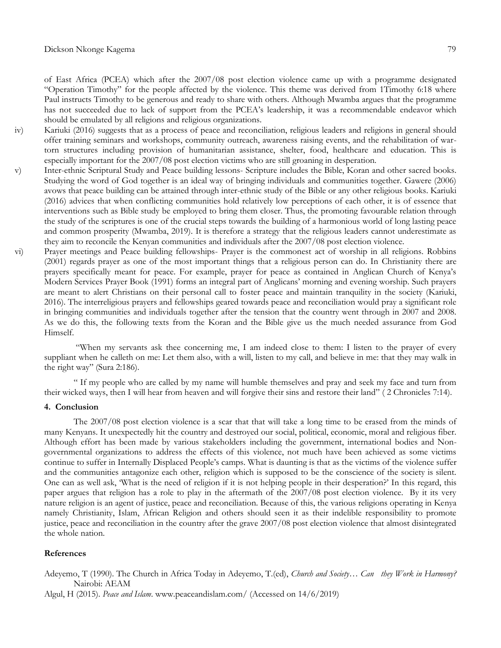of East Africa (PCEA) which after the 2007/08 post election violence came up with a programme designated "Operation Timothy" for the people affected by the violence. This theme was derived from 1Timothy 6:18 where Paul instructs Timothy to be generous and ready to share with others. Although Mwamba argues that the programme has not succeeded due to lack of support from the PCEA's leadership, it was a recommendable endeavor which should be emulated by all religions and religious organizations.

- iv) Kariuki (2016) suggests that as a process of peace and reconciliation, religious leaders and religions in general should offer training seminars and workshops, community outreach, awareness raising events, and the rehabilitation of wartorn structures including provision of humanitarian assistance, shelter, food, healthcare and education. This is especially important for the 2007/08 post election victims who are still groaning in desperation.
- v) Inter-ethnic Scriptural Study and Peace building lessons- Scripture includes the Bible, Koran and other sacred books. Studying the word of God together is an ideal way of bringing individuals and communities together. Gawere (2006) avows that peace building can be attained through inter-ethnic study of the Bible or any other religious books. Kariuki (2016) advices that when conflicting communities hold relatively low perceptions of each other, it is of essence that interventions such as Bible study be employed to bring them closer. Thus, the promoting favourable relation through the study of the scriptures is one of the crucial steps towards the building of a harmonious world of long lasting peace and common prosperity (Mwamba, 2019). It is therefore a strategy that the religious leaders cannot underestimate as they aim to reconcile the Kenyan communities and individuals after the 2007/08 post election violence.
- vi) Prayer meetings and Peace building fellowships- Prayer is the commonest act of worship in all religions. Robbins (2001) regards prayer as one of the most important things that a religious person can do. In Christianity there are prayers specifically meant for peace. For example, prayer for peace as contained in Anglican Church of Kenya's Modern Services Prayer Book (1991) forms an integral part of Anglicans' morning and evening worship. Such prayers are meant to alert Christians on their personal call to foster peace and maintain tranquility in the society (Kariuki, 2016). The interreligious prayers and fellowships geared towards peace and reconciliation would pray a significant role in bringing communities and individuals together after the tension that the country went through in 2007 and 2008. As we do this, the following texts from the Koran and the Bible give us the much needed assurance from God Himself.

"When my servants ask thee concerning me, I am indeed close to them: I listen to the prayer of every suppliant when he calleth on me: Let them also, with a will, listen to my call, and believe in me: that they may walk in the right way" (Sura 2:186).

― If my people who are called by my name will humble themselves and pray and seek my face and turn from their wicked ways, then I will hear from heaven and will forgive their sins and restore their land" (2 Chronicles 7:14).

#### **4. Conclusion**

The 2007/08 post election violence is a scar that that will take a long time to be erased from the minds of many Kenyans. It unexpectedly hit the country and destroyed our social, political, economic, moral and religious fiber. Although effort has been made by various stakeholders including the government, international bodies and Nongovernmental organizations to address the effects of this violence, not much have been achieved as some victims continue to suffer in Internally Displaced People's camps. What is daunting is that as the victims of the violence suffer and the communities antagonize each other, religion which is supposed to be the conscience of the society is silent. One can as well ask, ‗What is the need of religion if it is not helping people in their desperation?' In this regard, this paper argues that religion has a role to play in the aftermath of the 2007/08 post election violence. By it its very nature religion is an agent of justice, peace and reconciliation. Because of this, the various religions operating in Kenya namely Christianity, Islam, African Religion and others should seen it as their indelible responsibility to promote justice, peace and reconciliation in the country after the grave 2007/08 post election violence that almost disintegrated the whole nation.

### **References**

Adeyemo, T (1990). The Church in Africa Today in Adeyemo, T.(ed), *Church and Society… Can they Work in Harmony?* Nairobi: AEAM

Algul, H (2015). *Peace and Islam*. [www.peaceandislam.com/](http://www.peaceandislam.com/) (Accessed on 14/6/2019)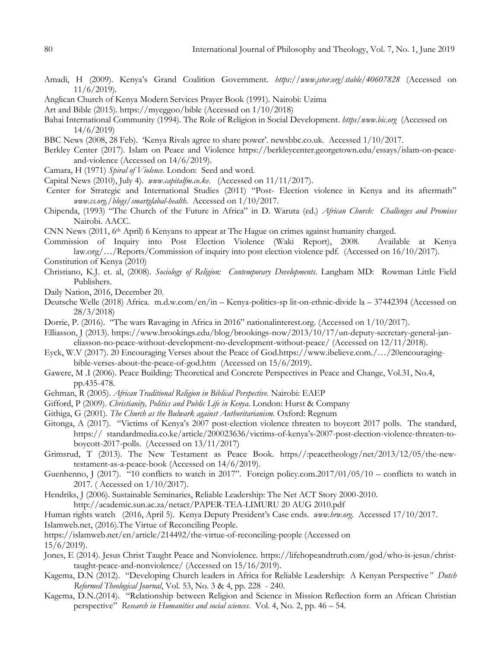- Amadi, H (2009). Kenya's Grand Coalition Government. *<https://www.jstor.org/stable/40607828>* (Accessed on 11/6/2019).
- Anglican Church of Kenya Modern Services Prayer Book (1991). Nairobi: Uzima
- Art and Bible (2015). https://myeggoo/bible (Accessed on 1/10/2018)
- Bahai International Community (1994). The Role of Religion in Social Development. *https/www.bic.org* (Accessed on 14/6/2019)
- BBC News (2008, 28 Feb). 'Kenya Rivals agree to share power'. newsbbc.co.uk. Accessed 1/10/2017.
- Berkley Center (2017). Islam on Peace and Violence [https://berkleycenter.georgetown.edu/essays/islam-on-peace](https://berkleycenter.georgetown.edu/essays/islam-on-peace-and-violence)[and-violence](https://berkleycenter.georgetown.edu/essays/islam-on-peace-and-violence) (Accessed on 14/6/2019).
- Camara, H (1971) *Spiral of Violence.* London: Seed and word.
- Capital News (2010), July 4). *[www.capitalfm.co.ke](http://www.capitalfm.co.ke/)*. (Accessed on 11/11/2017).
- Center for Strategic and International Studies (2011) "Post- Election violence in Kenya and its aftermath" *[www.cs.org./blogs/smartglabal-](http://www.cs.org./blogs/smartglabal)health*. Accessed on 1/10/2017.
- Chipenda, (1993) ―The Church of the Future in Africa‖ in D. Waruta (ed.) *African Church: Challenges and Promises* Nairobi. AACC.
- CNN News (2011, 6th April) 6 Kenyans to appear at The Hague on crimes against humanity charged.
- Commission of Inquiry into Post Election Violence (Waki Report), 2008. Available at Kenya law.org/…/Reports/Commission of inquiry into post election violence pdf. (Accessed on 16/10/2017). Constitution of Kenya (2010)
- Christiano, K.J. et. al, (2008). *Sociology of Religion: Contemporary Developments.* Langham MD: Rowman Little Field Publishers.
- Daily Nation, 2016, December 20.
- Deutsche Welle (2018) Africa. m.d.w.com/en/in Kenya-politics-sp lit-on-ethnic-divide la 37442394 (Accessed on 28/3/2018)
- Dorrie, P. (2016). "The wars Ravaging in Africa in 2016" national interest.org. (Accessed on 1/10/2017).
- Elliasson, J (2013). [https://www.brookings.edu/blog/brookings-now/2013/10/17/un-deputy-secretary-general-jan](https://www.brookings.edu/blog/brookings-now/2013/10/17/un-deputy-secretary-general-jan-eliasson-no-peace-without-development-no-development-without-peace/)[eliasson-no-peace-without-development-no-development-without-peace/](https://www.brookings.edu/blog/brookings-now/2013/10/17/un-deputy-secretary-general-jan-eliasson-no-peace-without-development-no-development-without-peace/) (Accessed on 12/11/2018).
- Eyck, W.V (2017). 20 Encouraging Verses about the Peace of God.https://www.ibelieve.com./…/20encouragingbible-verses-about-the-peace-of-god.htm (Accessed on 15/6/2019).
- Gawere, M .I (2006). Peace Building: Theoretical and Concrete Perspectives in Peace and Change, Vol.31, No.4, pp.435-478.
- Gehman, R (2005). *African Traditional Religion in Biblical Perspective*. Nairobi: EAEP
- Gifford, P (2009). *Christianity, Politics and Public Life in Kenya*. London: Hurst & Company
- Githiga, G (2001). *The Church as the Bulwark against Authoritarianism.* Oxford: Regnum
- Gitonga, A (2017). "Victims of Kenya's 2007 post-election violence threaten to boycott 2017 polls. The standard, https:// standardmedia.co.ke/article/200023636/victims-of-kenya's-2007-post-election-violence-threaten-toboycott-2017-polls. (Accessed on 13/11/2017)
- Grimsrud, T (2013). The New Testament as Peace Book. https//:peacetheology/net/2013/12/05/the-newtestament-as-a-peace-book (Accessed on 14/6/2019).
- Guenhenno, J (2017). "10 conflicts to watch in 2017". Foreign policy.com.2017/01/05/10 conflicts to watch in 2017. ( Accessed on 1/10/2017).
- Hendriks, J (2006). Sustainable Seminaries, Reliable Leadership: The Net ACT Story 2000-2010.

http://academic.sun.ac.za/netact/PAPER-TEA-LIMURU 20 AUG 2010.pdf

Human rights watch (2016, April 5). Kenya Deputy President's Case ends. *[www.hrw.org.](http://www.hrw.org/)* Accessed 17/10/2017.

Islamweb.net, (2016).The Virtue of Reconciling People.

<https://islamweb.net/en/article/214492/the-virtue-of-reconciling-people> (Accessed on

15/6/2019).

- Jones, E (2014). Jesus Christ Taught Peace and Nonviolence. [https://lifehopeandtruth.com/god/who-is-jesus/christ](https://lifehopeandtruth.com/god/who-is-jesus/christ-taught-peace-and-nonviolence/)[taught-peace-and-nonviolence/](https://lifehopeandtruth.com/god/who-is-jesus/christ-taught-peace-and-nonviolence/) (Accessed on 15/16/2019).
- Kagema, D.N (2012). "Developing Church leaders in Africa for Reliable Leadership: A Kenyan Perspective" Dutch *Reformed Theological Journal*, Vol. 53, No. 3 & 4, pp. 228 - 240.
- Kagema, D.N.(2014). "Relationship between Religion and Science in Mission Reflection form an African Christian perspective‖ *Research in Humanities and social sciences*. Vol. 4, No. 2, pp. 46 – 54.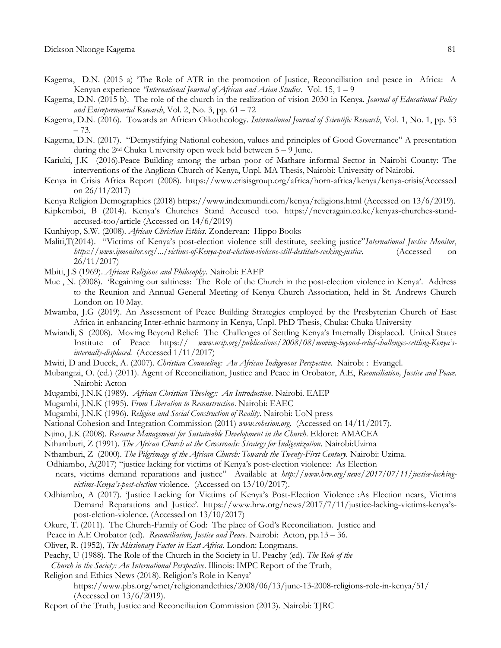- Kagema, D.N. (2015 a) The Role of ATR in the promotion of Justice, Reconciliation and peace in Africa: A Kenyan experience *"International Journal of African and Asian Studies*. Vol. 15, 1 – 9
- Kagema, D.N. (2015 b). The role of the church in the realization of vision 2030 in Kenya. *Journal of Educational Policy and Entrepreneurial Research*, Vol. 2, No. 3, pp. 61 – 72
- Kagema, D.N. (2016). Towards an African Oikotheology. *International Journal of Scientific Research*, Vol. 1, No. 1, pp. 53 – 73.
- Kagema, D.N. (2017). "Demystifying National cohesion, values and principles of Good Governance" A presentation during the  $2<sup>nd</sup>$  Chuka University open week held between  $5 - 9$  June.
- Kariuki, J.K (2016).Peace Building among the urban poor of Mathare informal Sector in Nairobi County: The interventions of the Anglican Church of Kenya, Unpl. MA Thesis, Nairobi: University of Nairobi.
- Kenya in Crisis Africa Report (2008). [https://www.crisisgroup.org/africa/horn-africa/kenya/kenya-crisis\(Accessed](https://www.crisisgroup.org/africa/horn-africa/kenya/kenya-crisis(Accessed%20on%2026/11/2017))  [on 26/11/2017\)](https://www.crisisgroup.org/africa/horn-africa/kenya/kenya-crisis(Accessed%20on%2026/11/2017))
- Kenya Religion Demographics (2018)<https://www.indexmundi.com/kenya/religions.html> (Accessed on 13/6/2019).
- Kipkemboi, B (2014). Kenya's Churches Stand Accused too. [https://neveragain.co.ke/kenyas-churches-stand](https://neveragain.co.ke/kenyas-churches-stand-accused-too/article)[accused-too/article](https://neveragain.co.ke/kenyas-churches-stand-accused-too/article) (Accessed on 14/6/2019)
- Kunhiyop, S.W. (2008). *African Christian Ethics*. Zondervan: Hippo Books
- Maliti,T(2014). "Victims of Kenya's post-election violence still destitute, seeking justice"*International Justice Monitor*, *[https://www.ijmonitor.org/.../victims-of-Kenya-post-election-violecne-still-destitute-seeking-justice.](https://www.ijmonitor.org/.../victims-of-Kenya-post-election-violecne-still-destitute-seeking-justice)* (Accessed on 26/11/2017)
- Mbiti, J.S (1969). *African Religions and Philosophy*. Nairobi: EAEP
- Mue, N. (2008). Regaining our saltiness: The Role of the Church in the post-election violence in Kenya'. Address to the Reunion and Annual General Meeting of Kenya Church Association, held in St. Andrews Church London on 10 May.
- Mwamba, J.G (2019). An Assessment of Peace Building Strategies employed by the Presbyterian Church of East Africa in enhancing Inter-ethnic harmony in Kenya, Unpl. PhD Thesis, Chuka: Chuka University
- Mwiandi, S (2008). Moving Beyond Relief: The Challenges of Settling Kenya's Internally Displaced. United States Institute of Peace https:// *[www.usip.org/publications/2008/08/moving-beyond-relief-challenges-settling-](http://www.usip.org/publications/2008/08/moving-beyond-relief-challenges-settling-Kenya)Kenya's[internally-displaced.](http://www.usip.org/publications/2008/08/moving-beyond-relief-challenges-settling-Kenya)* (Accessed 1/11/2017)
- Mwiti, D and Dueck, A. (2007). *Christian Counseling: An African Indigenous Perspective*. Nairobi : Evangel.
- Mubangizi, O. (ed.) (2011). Agent of Reconciliation, Justice and Peace in Orobator, A.E, *Reconciliation, Justice and Peace.*  Nairobi: Acton
- Mugambi, J.N.K (1989). *African Christian Theology: An Introduction*. Nairobi. EAEP
- Mugambi, J.N.K (1995). *From Liberation to Reconstruction*. Nairobi: EAEC
- Mugambi, J.N.K (1996). *Religion and Social Construction of Reality*. Nairobi: UoN press
- National Cohesion and Integration Commission (2011) *[www.cohesion.org.](http://www.cohesion.org/)* (Accessed on 14/11/2017).
- Njino, J.K (2008). *Resource Management for Sustainable Development in the Church*. Eldoret: AMACEA
- Nthamburi, Z (1991). *The African Church at the Crossroads: Strategy for Indigenization*. Nairobi:Uzima
- Nthamburi, Z (2000). *The Pilgrimage of the African Church: Towards the Twenty-First Century.* Nairobi: Uzima*.*
- Odhiambo, A(2017) "justice lacking for victims of Kenya's post-election violence: As Election
- nears, victims demand reparations and justice" Available at [http://www.hrw.org/news/2017/07/11/justice-lacking](http://www.hrw.org/news/2017/07/11/justice-lacking-victims-Kenya)*victims-Kenya's[-post-election](http://www.hrw.org/news/2017/07/11/justice-lacking-victims-Kenya)* violence. (Accessed on 13/10/2017).
- Odhiambo, A (2017). Justice Lacking for Victims of Kenya's Post-Election Violence :As Election nears, Victims Demand Reparations and Justice'. [https://www.hrw.org/news/2017/7/11/justice-lacking-victims-](https://www.hrw.org/news/2017/7/11/justice-lacking-victims-kenya)kenya's[post-elction-violence.](https://www.hrw.org/news/2017/7/11/justice-lacking-victims-kenya) (Accessed on 13/10/2017)
- Okure, T. (2011). The Church-Family of God: The place of God's Reconciliation. Justice and
- Peace in A.E Orobator (ed). *Reconciliation, Justice and Peace*. Nairobi: Acton, pp.13 36.
- Oliver, R. (1952), *The Missionary Factor in East Africa*. London: Longmans.
- Peachy, U (1988). The Role of the Church in the Society in U. Peachy (ed). *The Role of the*
- *Church in the Society: An International Perspective*. Illinois: IMPC Report of the Truth,
- Religion and Ethics News (2018). Religion's Role in Kenya'
	- <https://www.pbs.org/wnet/religionandethics/2008/06/13/june-13-2008-religions-role-in-kenya/51/> (Accessed on 13/6/2019).
- Report of the Truth, Justice and Reconciliation Commission (2013). Nairobi: TJRC